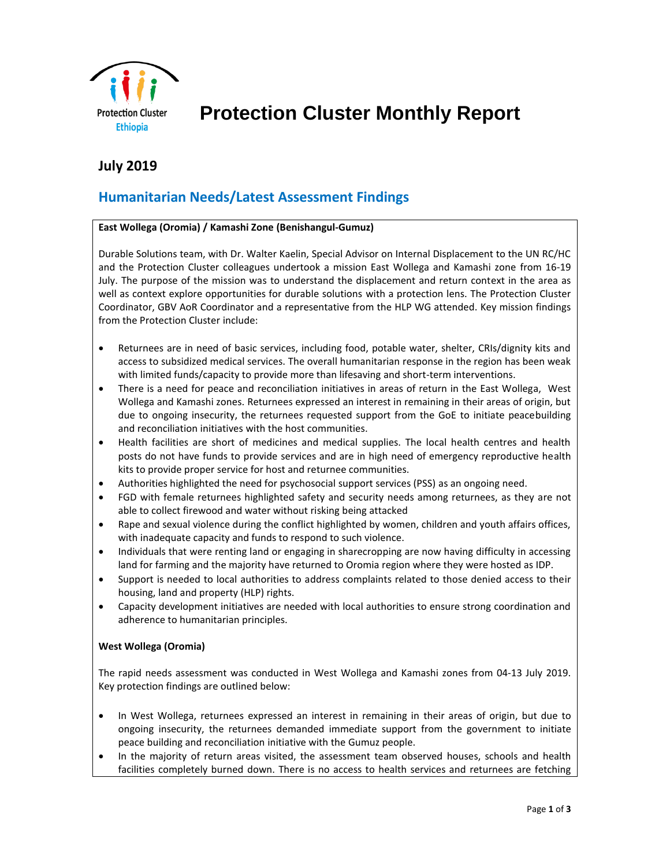

 **Protection Cluster Monthly Report**

# **July 2019**

# **Humanitarian Needs/Latest Assessment Findings**

### **East Wollega (Oromia) / Kamashi Zone (Benishangul-Gumuz)**

Durable Solutions team, with Dr. Walter Kaelin, Special Advisor on Internal Displacement to the UN RC/HC and the Protection Cluster colleagues undertook a mission East Wollega and Kamashi zone from 16-19 July. The purpose of the mission was to understand the displacement and return context in the area as well as context explore opportunities for durable solutions with a protection lens. The Protection Cluster Coordinator, GBV AoR Coordinator and a representative from the HLP WG attended. Key mission findings from the Protection Cluster include:

- Returnees are in need of basic services, including food, potable water, shelter, CRIs/dignity kits and access to subsidized medical services. The overall humanitarian response in the region has been weak with limited funds/capacity to provide more than lifesaving and short-term interventions.
- There is a need for peace and reconciliation initiatives in areas of return in the East Wollega, West Wollega and Kamashi zones. Returnees expressed an interest in remaining in their areas of origin, but due to ongoing insecurity, the returnees requested support from the GoE to initiate peacebuilding and reconciliation initiatives with the host communities.
- Health facilities are short of medicines and medical supplies. The local health centres and health posts do not have funds to provide services and are in high need of emergency reproductive health kits to provide proper service for host and returnee communities.
- Authorities highlighted the need for psychosocial support services (PSS) as an ongoing need.
- FGD with female returnees highlighted safety and security needs among returnees, as they are not able to collect firewood and water without risking being attacked
- Rape and sexual violence during the conflict highlighted by women, children and youth affairs offices, with inadequate capacity and funds to respond to such violence.
- Individuals that were renting land or engaging in sharecropping are now having difficulty in accessing land for farming and the majority have returned to Oromia region where they were hosted as IDP.
- Support is needed to local authorities to address complaints related to those denied access to their housing, land and property (HLP) rights.
- Capacity development initiatives are needed with local authorities to ensure strong coordination and adherence to humanitarian principles.

### **West Wollega (Oromia)**

The rapid needs assessment was conducted in West Wollega and Kamashi zones from 04-13 July 2019. Key protection findings are outlined below:

- In West Wollega, returnees expressed an interest in remaining in their areas of origin, but due to ongoing insecurity, the returnees demanded immediate support from the government to initiate peace building and reconciliation initiative with the Gumuz people.
- In the majority of return areas visited, the assessment team observed houses, schools and health facilities completely burned down. There is no access to health services and returnees are fetching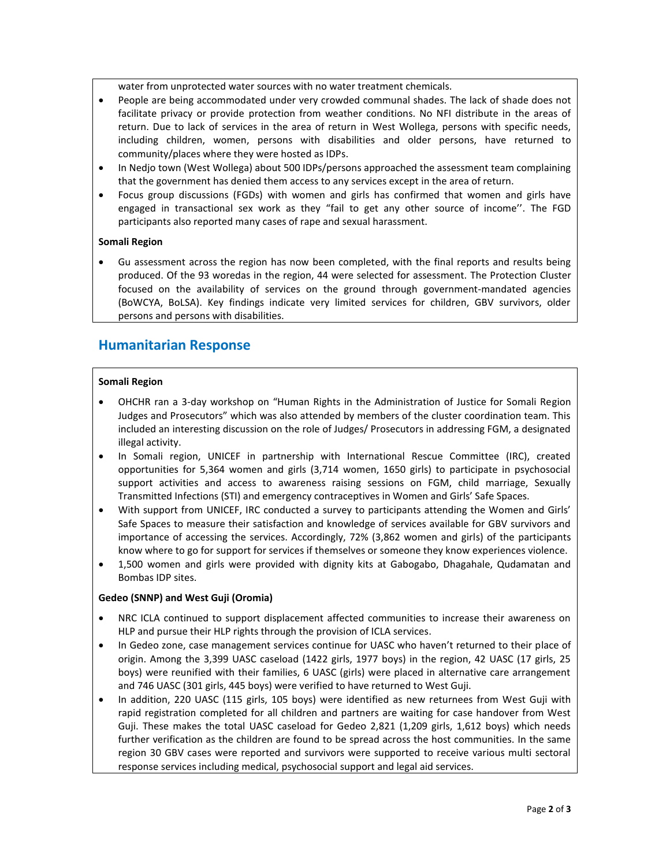water from unprotected water sources with no water treatment chemicals.

- People are being accommodated under very crowded communal shades. The lack of shade does not facilitate privacy or provide protection from weather conditions. No NFI distribute in the areas of return. Due to lack of services in the area of return in West Wollega, persons with specific needs, including children, women, persons with disabilities and older persons, have returned to community/places where they were hosted as IDPs.
- In Nedjo town (West Wollega) about 500 IDPs/persons approached the assessment team complaining that the government has denied them access to any services except in the area of return.
- Focus group discussions (FGDs) with women and girls has confirmed that women and girls have engaged in transactional sex work as they "fail to get any other source of income''. The FGD participants also reported many cases of rape and sexual harassment.

### **Somali Region**

• Gu assessment across the region has now been completed, with the final reports and results being produced. Of the 93 woredas in the region, 44 were selected for assessment. The Protection Cluster focused on the availability of services on the ground through government-mandated agencies (BoWCYA, BoLSA). Key findings indicate very limited services for children, GBV survivors, older persons and persons with disabilities.

## **Humanitarian Response**

### **Somali Region**

- OHCHR ran a 3-day workshop on "Human Rights in the Administration of Justice for Somali Region Judges and Prosecutors" which was also attended by members of the cluster coordination team. This included an interesting discussion on the role of Judges/ Prosecutors in addressing FGM, a designated illegal activity.
- In Somali region, UNICEF in partnership with International Rescue Committee (IRC), created opportunities for 5,364 women and girls (3,714 women, 1650 girls) to participate in psychosocial support activities and access to awareness raising sessions on FGM, child marriage, Sexually Transmitted Infections (STI) and emergency contraceptives in Women and Girls' Safe Spaces.
- With support from UNICEF, IRC conducted a survey to participants attending the Women and Girls' Safe Spaces to measure their satisfaction and knowledge of services available for GBV survivors and importance of accessing the services. Accordingly, 72% (3,862 women and girls) of the participants know where to go for support for services if themselves or someone they know experiences violence.
- 1,500 women and girls were provided with dignity kits at Gabogabo, Dhagahale, Qudamatan and Bombas IDP sites.

#### **Gedeo (SNNP) and West Guji (Oromia)**

- NRC ICLA continued to support displacement affected communities to increase their awareness on HLP and pursue their HLP rights through the provision of ICLA services.
- In Gedeo zone, case management services continue for UASC who haven't returned to their place of origin. Among the 3,399 UASC caseload (1422 girls, 1977 boys) in the region, 42 UASC (17 girls, 25 boys) were reunified with their families, 6 UASC (girls) were placed in alternative care arrangement and 746 UASC (301 girls, 445 boys) were verified to have returned to West Guji.
- In addition, 220 UASC (115 girls, 105 boys) were identified as new returnees from West Guji with rapid registration completed for all children and partners are waiting for case handover from West Guji. These makes the total UASC caseload for Gedeo 2,821 (1,209 girls, 1,612 boys) which needs further verification as the children are found to be spread across the host communities. In the same region 30 GBV cases were reported and survivors were supported to receive various multi sectoral response services including medical, psychosocial support and legal aid services.